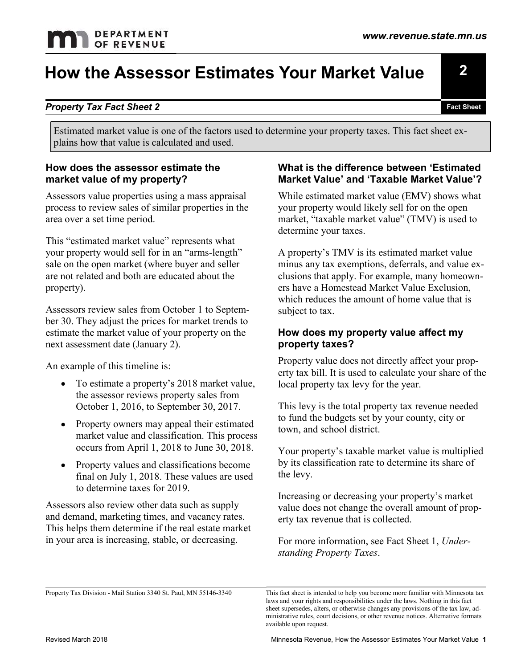### How the Assessor Estimates Your Market Value

#### Property Tax Fact Sheet 2

**THE SECUTE SET ASSESS AT A SET AND ASSESS OF EST AND ASSESS YOUT Market V<br>
Property Tax Fact Sheet 2<br>
Estimated market value is one of the factors used to determine your property taxes<br>
plains how that value is calculated** Estimated market value is one of the factors used to determine your property taxes. This fact sheet explains how that value is calculated and used.

### How does the assessor estimate the

**Property Tax Fact Sheet 2**<br> **Property Tax Fact Sheet 2**<br>
Estimated market value is one of the factors used to determine your property<br>
plains how that value is calculated and used.<br>
How does the assessor estimate the mark area over a set time period.

This "estimated market value" represents what your property would sell for in an "arms-length" sale on the open market (where buyer and seller property).

Assessors review sales from October 1 to September 30. They adjust the prices for market trends to next assessment date (January 2). related and both are educated about the<br>
sylections that apply. From the control of the set of the market value of your property on the<br>
state of the market value of your property on the<br>
state of your property on the<br>
sta

An example of this timeline is:

- the assessor reviews property sales from October 1, 2016, to September 30, 2017.
- Property owners may appeal their estimated market value and classification. This process
- 

For The stimate a property's 2018 market value,<br>
For the assessor reviews property sales from<br>
October 1, 2016, to September 30, 2017.<br>
This levy is the total proper<br>
Property vaneras may appeal their estimated<br>
to fund th Assessors also review other data such as supply Assessors review sales from October 1 to Septem-<br>
subject to tax.<br>
Subject to tax.<br>
Subject to tax.<br>
Subject to tax.<br>
Existinate the market value of your property value and free the market value of your property taxes?<br>
A This helps them determine if the real estate market in your area is increasing, stable, or decreasing.

## What is the difference between 'Estimated

Assessors value properties using a mass appraisal While estimated market value (EMV) shows what market Value<br>Tact Sheet<br>Tact Sheet<br>Tact Sheet<br>Termine your property taxes. This fact sheet ex-<br>What is the difference between 'Estimated<br>Market Value' and 'Taxable Market Value'?<br>While estimated market value (EMV) shows wh WHILE **YOUT Market Value**<br> **ExatSheet**<br>
FactSheet<br>
ermine your property taxes. This fact sheet ex-<br>
What is the difference between 'Estimated<br>
Market Value' and 'Taxable Market Value'?<br>
While estimated market value (EMV) s your property would likely sell for on the open market, "taxable market value" (TMV) is used to determine your taxes.

**Froperty Tax Fact Sheet 2**<br> **External Property Tax Fact Sheet 2**<br> **External Property Tax Fact Sheet 2**<br> **External Property Tax Fact Sheet 2**<br> **External Property tax Fact Sheet ex-**<br> **External Property tax Fact Sheet ex-**<br> Estimated market value is one of the factors used to determine your property taxes. This fact sheet ex-<br>
plains how that value is calculated and used.<br>
How does the assessor estimate the<br>
market value of my property?<br>
Mat **Solution and Subset a property's and the state of the state of property's and the property's property's TMUs (Subset Value) and the open market value, or the properties in the property would likely sell for on the open ma** is through the operator would sell for in an "arms-length"<br>
operty would sell for in an "arms-length"<br>
A property's TMV is its istemated market value?<br>
The open market (where buyer and seller<br>
the orelated and both are edu the open market (where buyer and seller<br>
related and both are clucated about the<br>
clustions that apply. For example, many<br>
spy.<br>
Spy.<br>
Spy.<br>
Spy.<br>
Spy. For example and the prices for market trends to<br>
the market value of y A property's TMV is its estimated market value minus any tax exemptions, deferrals, and value ex-**Fact Shoot**<br> **Exact Shoot**<br> **Exact Shoot**<br> **Exact Shoot**<br> **Clumber 1998**<br> **Cluber 2019**<br> **Cluber and 'Taxable Market Value'?**<br>
What is the difference between 'Estimated<br>
Market Value'? While estimated market value (EMV) s ers have a Homestead Market Value Exclusion, which reduces the amount of home value that is subject to tax. ermine your property taxes. This fact sheet ex-<br>
What is the difference between 'Estimated<br>
Market Value' and 'Taxable Market Value'?<br>
While estimated market value (EMV) shows what<br>
your property would likely sell for on t What is the difference between 'Estimated<br>
Market Value' and 'Taxable Market Value'?<br>
While estimated market value (EMV) shows what<br>
your property would likely sell for on the open<br>
market, "taxable market value" (TMV) is What is the difference between 'Estimated<br>
Market Value' and 'Taxable Market Value'?<br>
While estimated market value (EMV) shows what<br>
your property would likely sell for on the open<br>
market, "taxable market value" (TMV) is A property's TMV is its estimated market value<br>minus any tax exemptions, deferrals, and value ex-<br>clusions that apply. For example, many homeown-<br>ers have a Homestead Market Value Exclusion,<br>which reduces the amount of hom

### How does my property value affect my

Property value does not directly affect your propwhich retates are amount of none value that is<br>subject to tax.<br>**How does my property value affect my**<br>**property taxes?**<br>Property ax bill. It is used to calculate your share of the<br>local property tax levy for the year.<br>This

This levy is the total property tax revenue needed to fund the budgets set by your county, city or town, and school district.

• Property values and classifications become by its classification rate to determine its share of Your property's taxable market value is multiplied the levy.

> Increasing or decreasing your property's market value does not change the overall amount of prop-

For more information, see Fact Sheet 1, Understanding Property Taxes.

2

Fact Sheet

This fact sheet is intended to help you become more familiar with Minnesota tax laws and your rights and responsibilities under the laws. Nothing in this fact sheet supersedes, alters, or otherwise changes any provisions of the tax law, ad-This levy is the total property tax revenue needed<br>to fund the budgets set by your county, city or<br>town, and school district.<br>Your property's taxable market value is multiplied<br>by its classification rate to determine its s available upon request.